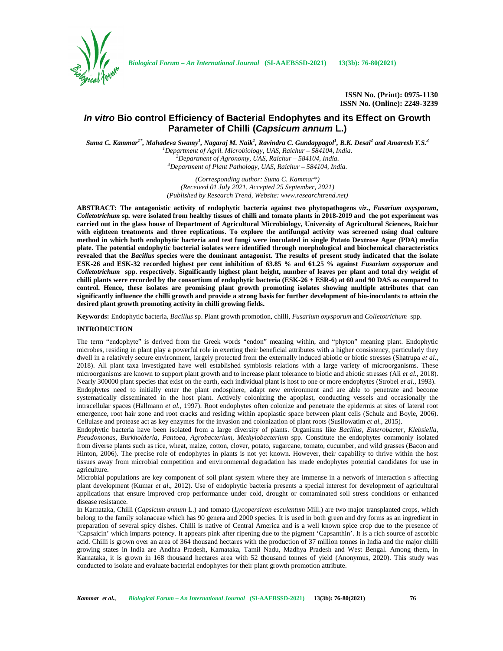

**ISSN No. (Print): 0975-1130 ISSN No. (Online): 2249-3239**

# *In vitro* **Bio control Efficiency of Bacterial Endophytes and its Effect on Growth Parameter of Chilli (***Capsicum annum* **L.)**

*Suma C. Kammar1\* , Mahadeva Swamy<sup>1</sup> , Nagaraj M. Naik<sup>1</sup> , Ravindra C. Gundappagol<sup>1</sup> , B.K. Desai<sup>2</sup> and Amaresh Y.S.<sup>3</sup>*

<sup>1</sup>Department of Agril. Microbiology, UAS, Raichur - 584104, India.<br><sup>2</sup>Department of Agronomy, UAS, Raichur - 584104, India.<br><sup>3</sup>Department of Plant Pathology, UAS, Raichur - 584104, India.

*(Corresponding author: Suma C. Kammar\*) (Received 01 July 2021, Accepted 25 September, 2021) (Published by Research Trend, Website: <www.researchtrend.net>)*

**ABSTRACT: The antagonistic activity of endophytic bacteria against two phytopathogens** *viz***.,** *Fusarium oxysporum***,** *Colletotrichum* **sp***.* **were isolated from healthy tissues of chilli and tomato plants in 2018-2019 and the pot experiment was carried out in the glass house of Department of Agricultural Microbiology, University of Agricultural Sciences, Raichur with eighteen treatments and three replications. To explore the antifungal activity was screened using dual culture method in which both endophytic bacteria and test fungi were inoculated in single Potato Dextrose Agar (PDA) media plate. The potential endophytic bacterial isolates were identified through morphological and biochemical characteristics revealed that the** *Bacillus* **species were the dominant antagonist. The results of present study indicated that the isolate ESK-26 and ESK-32 recorded highest per cent inhibition of 63.85 % and 61.25 % against** *Fusarium oxysporum* **and** *Colletotrichum* **spp. respectively. Significantly highest plant height, number of leaves per plant and total dry weight of chilli plants were recorded by the consortium of endophytic bacteria (ESK-26 + ESR-6) at 60 and 90 DAS as compared to control. Hence, these isolates are promising plant growth promoting isolates showing multiple attributes that can significantly influence the chilli growth and provide a strong basis for further development of bio-inoculants to attain the desired plant growth promoting activity in chilli growing fields.**

**Keywords:** Endophytic bacteria, *Bacillus* sp. Plant growth promotion, chilli, *Fusarium oxysporum* and *Colletotrichum* spp.

## **INTRODUCTION**

The term "endophyte" is derived from the Greek words "endon" meaning within, and "phyton" meaning plant. Endophytic microbes, residing in plant play a powerful role in exerting their beneficial attributes with a higher consistency, particularly they dwell in a relatively secure environment, largely protected from the externally induced abiotic or biotic stresses (Shatrupa *et al.,* 2018). All plant taxa investigated have well established symbiosis relations with a large variety of microorganisms. These microorganisms are known to support plant growth and to increase plant tolerance to biotic and abiotic stresses (Ali *et al.,* 2018). Nearly 300000 plant species that exist on the earth, each individual plant is host to one or more endophytes (Strobel *et al*., 1993). Endophytes need to initially enter the plant endosphere, adapt new environment and are able to penetrate and become systematically disseminated in the host plant. Actively colonizing the apoplast, conducting vessels and occasionally the intracellular spaces (Hallmann *et al.,* 1997). Root endophytes often colonize and penetrate the epidermis at sites of lateral root emergence, root hair zone and root cracks and residing within apoplastic space between plant cells (Schulz and Boyle, 2006). Cellulase and protease act as key enzymes for the invasion and colonization of plant roots (Susilowatim *et al.,* 2015).

Endophytic bacteria have been isolated from a large diversity of plants. Organisms like *Bacillus, Enterobacter, Klebsiella, Pseudomonas, Burkholderia, Pantoea, Agrobacterium, Methylobacterium* spp. Constitute the endophytes commonly isolated from diverse plants such as rice, wheat, maize, cotton, clover, potato, sugarcane, tomato, cucumber, and wild grasses (Bacon and Hinton, 2006). The precise role of endophytes in plants is not yet known. However, their capability to thrive within the host tissues away from microbial competition and environmental degradation has made endophytes potential candidates for use in agriculture.

Microbial populations are key component of soil plant system where they are immense in a network of interaction s affecting plant development (Kumar *et al*., 2012). Use of endophytic bacteria presents a special interest for development of agricultural applications that ensure improved crop performance under cold, drought or contaminated soil stress conditions or enhanced disease resistance.

In Karnataka, Chilli (*Capsicum annum* L.) and tomato (*Lycopersicon esculentum* Mill.) are two major transplanted crops, which belong to the family solanaceae which has 90 genera and 2000 species. It is used in both green and dry forms as an ingredient in preparation of several spicy dishes. Chilli is native of Central America and is a well known spice crop due to the presence of 'Capsaicin' which imparts potency. It appears pink after ripening due to the pigment 'Capsanthin'. It is a rich source of ascorbic acid. Chilli is grown over an area of 364 thousand hectares with the production of 37 million tonnes in India and the major chilli growing states in India are Andhra Pradesh, Karnataka, Tamil Nadu, Madhya Pradesh and West Bengal. Among them, in Karnataka, it is grown in 168 thousand hectares area with 52 thousand tonnes of yield (Anonymus, 2020). This study was conducted to isolate and evaluate bacterial endophytes for their plant growth promotion attribute.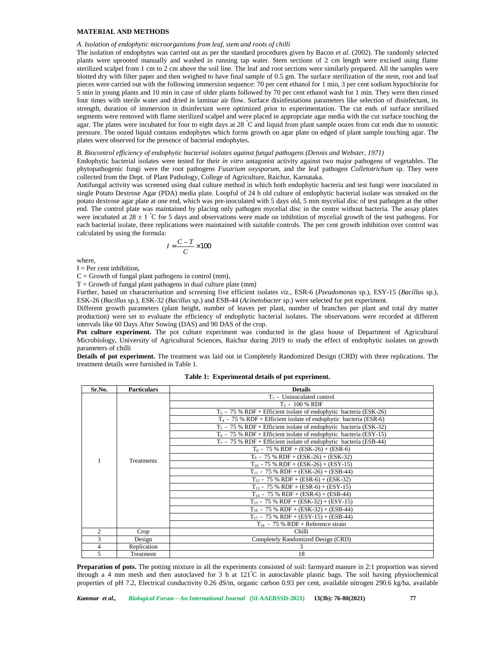# **MATERIAL AND METHODS**

## *A. Isolation of endophytic microorganisms from leaf, stem and roots of chilli*

The isolation of endophytes was carried out as per the standard procedures given by Bacon *et al*. (2002). The randomly selected plants were uprooted manually and washed in running tap water. Stem sections of 2 cm length were excised using flame sterilized scalpel from 1 cm to 2 cm above the soil line. The leaf and root sections were similarly prepared. All the samples were blotted dry with filter paper and then weighed to have final sample of 0.5 gm. The surface sterilization of the stem, root and leaf pieces were carried out with the following immersion sequence: 70 per cent ethanol for 1 min, 3 per cent sodium hypochlorite for 5 min in young plants and 10 min in case of older plants followed by 70 per cent ethanol wash for 1 min. They were then rinsed four times with sterile water and dried in laminar air flow. Surface disinfestations parameters like selection of disinfectant, its strength, duration of immersion in disinfectant were optimized prior to experimentation. The cut ends of surface sterilised segments were removed with flame sterilized scalpel and were placed in appropriate agar media with the cut surface touching the agar. The plates were incubated for four to eight days at 28 °C and liquid from plant sample oozes from cut ends due to osmotic pressure. The oozed liquid contains endophytes which forms growth on agar plate on edged of plant sample touching agar. The plates were observed for the presence of bacterial endophytes. If washed in running tap wate. Stern securios on<br>above the soil line. The leaf and root sections were not above the soil line. The leaf and root sections were<br>on weighed to have final sample of 0.5 gm. The surflowing imme m above the soil line. The leaf and root sections were  $\mu$  such and the more weighed to have final sample of 0.5 gm. The surfano<br>illowing immersion sequence: 70 per cent ethanol for 1 in case of older plants followed by

## *B. Biocontrol efficiency of endophytic bacterial isolates against fungal pathogens (Dennis and Webster, 1971)*

Endophytic bacterial isolates were tested for their *in vitro* antagonist activity against two major pathogens of vegetables. The phytopathogenic fungi were the root pathogens *Fusarium oxysporum,* and the leaf pathogen *Colletotrichum* sp*.* They were collected from the Dept. of Plant Pathology, College of Agriculture, Raichur, Karnataka.

Antifungal activity was screened using dual culture method in which both endophytic bacteria and test fungi were inoculated in single Potato Dextrose Agar (PDA) media plate. Loopful of 24 h old culture of endophytic bacterial isolate was streaked on the potato dextrose agar plate at one end, which was pre-inoculated with 5 days old, 5 mm mycelial disc of test pathogen at the other end. The control plate was maintained by placing only pathogen mycelial disc in the centre without bacteria. The assay plates were incubated at  $28 \pm 1$  °C for 5 days and observations were made on inhibition of mycelial growth of the test pathogens. For each bacterial isolate, three replications were maintained with suitable controls. The per cent growth inhibition over control was calculated by using the formula:

$$
I = \frac{C - T}{C} \times 100
$$

where,

 $I = Per$  cent inhibition,

 $C =$  Growth of fungal plant pathogens in control (mm),

 $T =$  Growth of fungal plant pathogens in dual culture plate (mm)

Further, based on characterisation and screening five efficient isolates *viz.,* ESR-6 (*Pseudomonas* sp.), ESY-15 (*Bacillus* sp.), ESK-26 (*Bacillus* sp.), ESK-32 (*Bacillus* sp.) and ESB-44 (*Acinetobacter* sp.) were selected for pot experiment.

Different growth parameters (plant height, number of leaves per plant, number of branches per plant and total dry matter production) were set to evaluate the efficiency of endophytic bacterial isolates. The observations were recorded at different intervals like 60 Days After Sowing (DAS) and 90 DAS of the crop.

Pot culture experiment. The pot culture experiment was conducted in the glass house of Department of Agricultural Microbiology, University of Agricultural Sciences, Raichur during 2019 to study the effect of endophytic isolates on growth parameters of chilli

**Details of pot experiment.** The treatment was laid out in Completely Randomized Design (CRD) with three replications. The treatment details were furnished in Table 1.

| Sr.No.        | <b>Particulars</b> | <b>Details</b>                                                       |  |  |  |
|---------------|--------------------|----------------------------------------------------------------------|--|--|--|
|               |                    | $T_1$ - Uninoculated control                                         |  |  |  |
|               |                    | $T_2$ - 100 % RDF                                                    |  |  |  |
|               |                    | $T_3$ - 75 % RDF + Efficient isolate of endophytic bacteria (ESK-26) |  |  |  |
|               | <b>Treatments</b>  | $T_4$ - 75 % RDF + Efficient isolate of endophytic bacteria (ESR-6)  |  |  |  |
|               |                    | $T_5$ - 75 % RDF + Efficient isolate of endophytic bacteria (ESK-32) |  |  |  |
|               |                    | $T_6$ - 75 % RDF + Efficient isolate of endophytic bacteria (ESY-15) |  |  |  |
|               |                    | $T_7$ - 75 % RDF + Efficient isolate of endophytic bacteria (ESB-44) |  |  |  |
|               |                    | $T_8$ - 75 % RDF + (ESK-26) + (ESR-6)                                |  |  |  |
|               |                    | $T_9$ - 75 % RDF + (ESK-26) + (ESK-32)                               |  |  |  |
|               |                    | $T_{10}$ - 75 % RDF + (ESK-26) + (ESY-15)                            |  |  |  |
|               |                    | $T_{11}$ - 75 % RDF + (ESK-26) + (ESB-44)                            |  |  |  |
|               |                    | $T_{12}$ - 75 % RDF + (ESR-6) + (ESK-32)                             |  |  |  |
|               |                    | $T_{13}$ - 75 % RDF + (ESR-6) + (ESY-15)                             |  |  |  |
|               |                    | $T_{14}$ - 75 % RDF + (ESR-6) + (ESB-44)                             |  |  |  |
|               |                    | $T_{15}$ - 75 % RDF + (ESK-32) + (ESY-15)                            |  |  |  |
|               |                    | $T_{16}$ - 75 % RDF + (ESK-32) + (ESB-44)                            |  |  |  |
|               |                    | $T_{17}$ - 75 % RDF + (ESY-15) + (ESB-44)                            |  |  |  |
|               |                    | $T_{18}$ - 75 % RDF + Reference strain                               |  |  |  |
| $\mathcal{D}$ | Crop               | Chilli                                                               |  |  |  |
| $\mathcal{L}$ | Design             | Completely Randomized Design (CRD)                                   |  |  |  |
| 4             | Replication        | 3                                                                    |  |  |  |
| 5             | Treatment          | 18                                                                   |  |  |  |

**Table 1: Experimental details of pot experiment.**

**Preparation of pots.** The potting mixture in all the experiments consisted of soil: farmyard manure in 2:1 proportion was sieved through a 4 mm mesh and then autoclaved for 3 h at 121°C in autoclavable plastic bags. The soil having physiochemical properties of pH 7.2, Electrical conductivity 0.26 dS/m, organic carbon 0.93 per cent, available nitrogen 290.6 kg/ha, available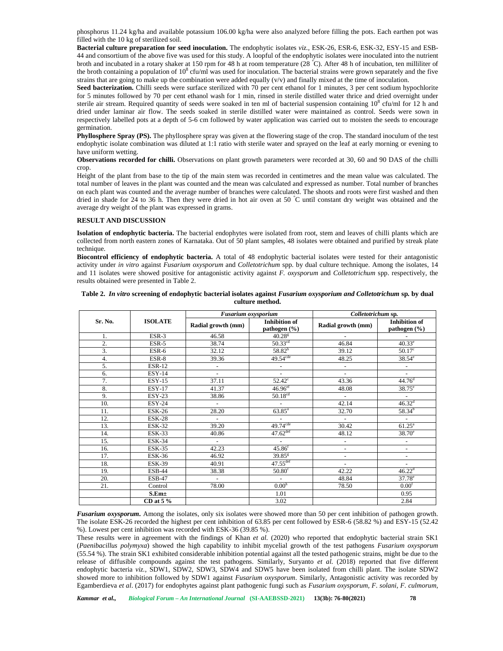phosphorus 11.24 kg/ha and available potassium 106.00 kg/ha were also analyzed before filling the pots. Each earthen pot was filled with the 10 kg of sterilized soil.

**Bacterial culture preparation for seed inoculation.** The endophytic isolates *viz.,* ESK-26, ESR-6, ESK-32, ESY-15 and ESB- 44 and consortium of the above five was used for this study. A loopful of the endophytic isolates were inoculated into the nutrient broth and incubated in a rotary shaker at 150 rpm for 48 h at room temperature (28 °C). After 48 h of incubation, ten milliliter of the broth containing a population of  $10^8$  cfu/ml was used for inoculation. The bacterial strains were grown separately and the five strains that are going to make up the combination were added equally  $(v/v)$  and finally mixed at the time of inoculation.

Seed bacterization. Chilli seeds were surface sterilized with 70 per cent ethanol for 1 minutes, 3 per cent sodium hypochlorite for 5 minutes followed by 70 per cent ethanol wash for 1 min, rinsed in sterile distilled water thrice and dried overnight under sterile air stream. Required quantity of seeds were soaked in ten ml of bacterial suspension containing  $10^8$  cfu/ml for 12 h and dried under laminar air flow. The seeds soaked in sterile distilled water were maintained as control. Seeds were sown in respectively labelled pots at a depth of 5-6 cm followed by water application was carried out to moisten the seeds to encourage germination.

**Phyllosphere Spray (PS).** The phyllosphere spray was given at the flowering stage of the crop. The standard inoculum of the test endophytic isolate combination was diluted at 1:1 ratio with sterile water and sprayed on the leaf at early morning or evening to have uniform wetting.

**Observations recorded for chilli.** Observations on plant growth parameters were recorded at 30, 60 and 90 DAS of the chilli crop.

Height of the plant from base to the tip of the main stem was recorded in centimetres and the mean value was calculated. The total number of leaves in the plant was counted and the mean was calculated and expressed as number. Total number of branches on each plant was counted and the average number of branches were calculated. The shoots and roots were first washed and then dried in shade for 24 to 36 h. Then they were dried in hot air oven at 50  $\degree$ C until constant dry weight was obtained and the average dry weight of the plant was expressed in grams.

# **RESULT AND DISCUSSION**

**Isolation of endophytic bacteria.** The bacterial endophytes were isolated from root, stem and leaves of chilli plants which are collected from north eastern zones of Karnataka. Out of 50 plant samples, 48 isolates were obtained and purified by streak plate technique.

**Biocontrol efficiency of endophytic bacteria.** A total of 48 endophytic bacterial isolates were tested for their antagonistic activity under *in vitro* against *Fusarium oxysporum* and*Colletotrichum* spp*.* by dual culture technique. Among the isolates, 14 and 11 isolates were showed positive for antagonistic activity against *F. oxysporum* and*Colletotrichum* spp. respectively, the results obtained were presented in Table 2.

|         | <b>ISOLATE</b> | Fusarium oxysporium      |                                          |                          | Colletotrichum sp.                       |  |  |
|---------|----------------|--------------------------|------------------------------------------|--------------------------|------------------------------------------|--|--|
| Sr. No. |                | Radial growth (mm)       | <b>Inhibition</b> of<br>pathogen $(\% )$ | Radial growth (mm)       | <b>Inhibition of</b><br>pathogen $(\% )$ |  |  |
| 1.      | $ESR-3$        | 46.58                    | $40.28$ <sup>g</sup>                     |                          |                                          |  |  |
| 2.      | ESR-5          | 38.74                    | $50.33$ <sup>cd</sup>                    | 46.84                    | $40.33^e$                                |  |  |
| 3.      | ESR-6          | 32.12                    | $58.82^{b}$                              | 39.12                    | 50.17 <sup>c</sup>                       |  |  |
| 4.      | ESR-8          | 39.36                    | $49.54$ <sup>cde</sup>                   | 48.25                    | 38.54 <sup>e</sup>                       |  |  |
| 5.      | <b>ESR-12</b>  | $\overline{\phantom{a}}$ | $\overline{\phantom{a}}$                 | $\overline{\phantom{a}}$ | $\overline{\phantom{a}}$                 |  |  |
| 6.      | $ESY-14$       | $\blacksquare$           | $\overline{a}$                           | $\overline{\phantom{a}}$ |                                          |  |  |
| 7.      | <b>ESY-15</b>  | 37.11                    | $52.42^{\circ}$                          | 43.36                    | 44.76 <sup>d</sup>                       |  |  |
| 8.      | <b>ESY-17</b>  | 41.37                    | $46.96$ <sup>ef</sup>                    | 48.08                    | $38.75^{\circ}$                          |  |  |
| 9.      | $ESY-23$       | 38.86                    | 50.18 <sup>cd</sup>                      | $\overline{\phantom{a}}$ | $\sim$                                   |  |  |
| 10.     | <b>ESY-24</b>  | $\sim$                   | $\sim$                                   | 42.14                    | 46.32 <sup>d</sup>                       |  |  |
| 11.     | <b>ESK-26</b>  | 28.20                    | $63.85^{a}$                              | 32.70                    | $58.34^{b}$                              |  |  |
| 12.     | <b>ESK-28</b>  |                          |                                          | $\overline{\phantom{a}}$ |                                          |  |  |
| 13.     | <b>ESK-32</b>  | 39.20                    | $49.74$ <sup>cde</sup>                   | 30.42                    | $61.25^{\circ}$                          |  |  |
| 14.     | <b>ESK-33</b>  | 40.86                    | $47.62$ <sup>def</sup>                   | 48.12                    | $38.70^e$                                |  |  |
| 15.     | $ESK-34$       | $\sim$                   | $\sim$                                   | $\overline{\phantom{a}}$ | $\overline{\phantom{a}}$                 |  |  |
| 16.     | <b>ESK-35</b>  | 42.23                    | 45.86 <sup>r</sup>                       | $\overline{\phantom{a}}$ | $\overline{\phantom{a}}$                 |  |  |
| 17.     | <b>ESK-36</b>  | 46.92                    | $39.85^{8}$                              | $\overline{\phantom{a}}$ | $\overline{\phantom{a}}$                 |  |  |
| 18.     | <b>ESK-39</b>  | 40.91                    | $47.55$ <sup>def</sup>                   |                          |                                          |  |  |
| 19.     | <b>ESB-44</b>  | 38.38                    | $50.80^\circ$                            | 42.22                    | $46.22^{\rm d}$                          |  |  |
| 20.     | <b>ESB-47</b>  | $\sim$                   | $\sim$                                   | 48.84                    | $37.78^{\circ}$                          |  |  |
| 21.     | Control        | 78.00                    | 0.00 <sup>h</sup>                        | 78.50                    | 0.00 <sup>f</sup>                        |  |  |
|         | $S.Em\pm$      |                          | 1.01                                     |                          | 0.95                                     |  |  |
|         | CD at $5\%$    |                          | 3.02                                     |                          | 2.84                                     |  |  |

# **Table 2.** *In vitro* **screening of endophytic bacterial isolates against** *Fusarium oxysporium and Colletotrichum* **sp***.* **by dual culture method.**

*Fusarium oxysporum.* Among the isolates, only six isolates were showed more than 50 per cent inhibition of pathogen growth. The isolate ESK-26 recorded the highest per cent inhibition of 63.85 per cent followed by ESR-6 (58.82 %) and ESY-15 (52.42 %). Lowest per cent inhibition was recorded with ESK-36 (39.85 %).

These results were in agreement with the findings of Khan *et al.* (2020) who reported that endophytic bacterial strain SK1 (*Paenibacillus polymyxa*) showed the high capability to inhibit mycelial growth of the test pathogens *Fusarium oxysporum* (55.54 %). The strain SK1 exhibited considerable inhibition potential against all the tested pathogenic strains, might be due to the release of diffusible compounds against the test pathogens. Similarly, Suryanto *et al.* (2018) reported that five different endophytic bacteria *viz.,* SDW1, SDW2, SDW3, SDW4 and SDW5 have been isolated from chilli plant. The isolate SDW2 showed more to inhibition followed by SDW1 against *Fusarium oxysporum*. Similarly, Antagonistic activity was recorded by Egamberdieva *et al*. (2017) for endophytes against plant pathogenic fungi such as *Fusarium oxysporum, F. solani, F. culmorum,*

*Kammar et al., Biological Forum – An International Journal* **(SI-AAEBSSD-2021) 13(3b): 76-80(2021) 78**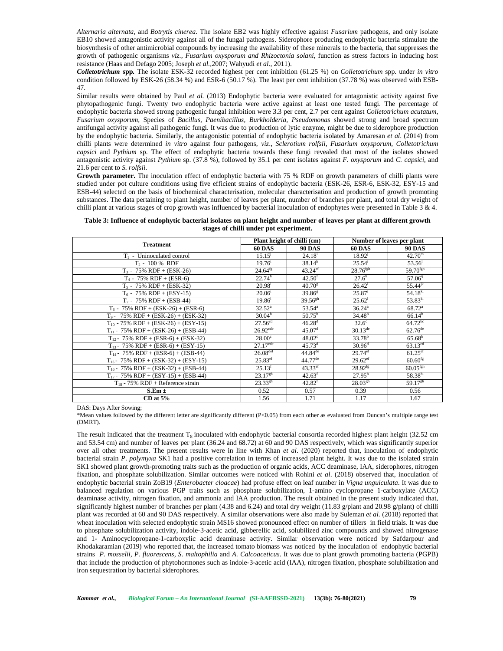*Alternaria alternata,* and *Botrytis cinerea*. The isolate EB2 was highly effective against *Fusarium* pathogens, and only isolate EB10 showed antagonistic activity against all of the fungal pathogens. Siderophore producing endophytic bacteria stimulate the biosynthesis of other antimicrobial compounds by increasing the availability of these minerals to the bacteria, that suppresses the growth of pathogenic organisms *viz., Fusarium oxysporum and Rhizoctonia solani,* function as stress factors in inducing host resistance (Haas and Defago 2005; Joseph *et al.,*2007; Wahyudi *et al.,* 2011).

*Colletotrichum* **spp***.* The isolate ESK-32 recorded highest per cent inhibition (61.25 %) on *Colletotrichum* spp. under *in vitro* condition followed by ESK-26 (58.34 %) and ESR-6 (50.17 %). The least per cent inhibition (37.78 %) was observed with ESB- 47.

Similar results were obtained by Paul *et al.* (2013) Endophytic bacteria were evaluated for antagonistic activity against five phytopathogenic fungi. Twenty two endophytic bacteria were active against at least one tested fungi. The percentage of endophytic bacteria showed strong pathogenic fungal inhibition were 3.3 per cent, 2.7 per cent against *Colletotrichum acutatum*, *Fusarium oxysporum*, Species of *Bacillus, Paenibacillus*, *Burkholderia, Pseudomonas* showed strong and broad spectrum antifungal activity against all pathogenic fungi. It was due to production of lytic enzyme, might be due to siderophore production by the endophytic bacteria. Similarly, the antagonistic potential of endophytic bacteria isolated by Amaresan *et al*. (2014) from chilli plants were determined *in vitro* against four pathogens, *viz*., *Sclerotium rolfsii*, *Fusarium oxysporum*, *Colletotrichum capsici* and *Pythium* sp. The effect of endophytic bacteria towards these fungi revealed that most of the isolates showed antagonistic activity against *Pythium* sp. (37.8 %), followed by 35.1 per cent isolates against *F. oxysporum* and *C. capsici*, and 21.6 per cent to *S. rolfsii*.

**Growth parameter.** The inoculation effect of endophytic bacteria with 75 % RDF on growth parameters of chilli plants were studied under pot culture conditions using five efficient strains of endophytic bacteria (ESK-26, ESR-6, ESK-32, ESY-15 and ESB-44) selected on the basis of biochemical characterisation, molecular characterisation and production of growth promoting substances. The data pertaining to plant height, number of leaves per plant, number of branches per plant, and total dry weight of chilli plant at various stages of crop growth was influenced by bacterial inoculation of endophytes were presented in Table 3 & 4.

**Table 3: Influence of endophytic bacterial isolates on plant height and number of leaves per plant at different growth stages of chilli under pot experiment.**

|                                          |                        | Plant height of chilli (cm) |                         | Number of leaves per plant |  |
|------------------------------------------|------------------------|-----------------------------|-------------------------|----------------------------|--|
| <b>Treatment</b>                         | <b>60 DAS</b>          | <b>90 DAS</b>               | <b>60 DAS</b>           | <b>90 DAS</b>              |  |
| $T_1$ - Uninoculated control             | 15.15 <sup>j</sup>     | 24.18 <sup>1</sup>          | 18.92 <sup>j</sup>      | $42.70^{\rm m}$            |  |
| $T_2$ - 100 % RDF                        | $19.76^{\rm i}$        | $38.14^h$                   | $25.54^i$               | 53.56 <sup>1</sup>         |  |
| $T_3$ - 75% RDF + (ESK-26)               | $24.64^{fg}$           | $43.24$ <sup>ef</sup>       | $28.76$ <sup>fgh</sup>  | $59.70$ <sup>fgh</sup>     |  |
| $T_4$ - 75% RDF + (ESR-6)                | $22.74^h$              | 42.50 <sup>f</sup>          | $27.6^h$                | $57.06^{ij}$               |  |
| $T_5 - 75\% RDF + (ESK-32)$              | $20.98^{\rm i}$        | $40.70^{\rm g}$             | $26.42^i$               | $55.44^{jk}$               |  |
| $T_6$ - 75% RDF + (ESY-15)               | $20.06^{i}$            | $39.86^{8}$                 | $25.87^{\rm i}$         | $54.18^{kl}$               |  |
| $T_7$ - 75% RDF + (ESB-44)               | $19.86^{i}$            | $39.56^{gh}$                | $25.62^{\rm i}$         | $53.83^{kl}$               |  |
| $T_8$ - 75% RDF + (ESK-26) + (ESR-6)     | $32.52^{\circ}$        | $53.54^{\circ}$             | 36.24 <sup>a</sup>      | $68.72^{\circ}$            |  |
| $T_9$ - 75% RDF + (ESK-26) + (ESK-32)    | 30.04 <sup>b</sup>     | $50.75^{\rm b}$             | 34.48 <sup>b</sup>      | $66.14^{b}$                |  |
| $T_{10}$ - 75% RDF + (ESK-26) + (ESY-15) | $27.56^{cd}$           | $46.28^{d}$                 | $32.6^\circ$            | $64.72^{bc}$               |  |
| $T_{11}$ - 75% RDF + (ESK-26) + (ESB-44) | $26.92$ <sup>cde</sup> | 45.07 <sup>d</sup>          | $30.13^{\overline{de}}$ | $62.76^{de}$               |  |
| $T_{12}$ - 75% RDF + (ESR-6) + (ESK-32)  | $28.00^{\circ}$        | $48.02^{\circ}$             | 33.78 <sup>b</sup>      | $65.68^{b}$                |  |
| $T_{13}$ - 75% RDF + (ESR-6) + (ESY-15)  | $27.17$ <sup>cde</sup> | $45.73^{\rm d}$             | $30.96^{\rm d}$         | $63.13^{cd}$               |  |
| $T_{14}$ - 75% RDF + (ESR-6) + (ESB-44)  | $26.08$ <sup>def</sup> | $44.84^{de}$                | $29.74$ <sup>ef</sup>   | $61.25$ <sup>ef</sup>      |  |
| $T_{15}$ - 75% RDF + (ESK-32) + (ESY-15) | $25.83$ <sup>ef</sup>  | $44.77^{de}$                | $29.62^{\rm ef}$        | $60.60^{fg}$               |  |
| $T_{16}$ - 75% RDF + (ESK-32) + (ESB-44) | $25.13$ <sup>f</sup>   | $43.33$ <sup>ef</sup>       | $28.92^{fg}$            | $60.05$ <sup>fgh</sup>     |  |
| $T_{17}$ - 75% RDF + (ESY-15) + (ESB-44) | $23.17^{gh}$           | 42.63 <sup>f</sup>          | $27.95^h$               | 58.38hi                    |  |
| $T_{18}$ - 75% RDF + Reference strain    | $23.33^{gh}$           | $42.82^t$                   | $28.03^{gh}$            | $59.17^{gh}$               |  |
| $S.Em \pm$                               | 0.52                   | 0.57                        | 0.39                    | 0.56                       |  |
| $CD$ at $5\%$                            | 1.56                   | 1.71                        | 1.17                    | 1.67                       |  |

DAS: Days After Sowing;

\*Mean values followed by the different letter are significantly different (P<0.05) from each other as evaluated from Duncan's multiple range test (DMRT).

The result indicated that the treatment  $T_8$  inoculated with endophytic bacterial consortia recorded highest plant height (32.52 cm and 53.54 cm) and number of leaves per plant (36.24 and 68.72) at 60 and 90 DAS respectively, which was significantly superior over all other treatments. The present results were in line with Khan *et al.* (2020) reported that, inoculation of endophytic bacterial strain *P*. *polymyxa* SK1 had a positive correlation in terms of increased plant height. It was due to the isolated strain SK1 showed plant growth-promoting traits such as the production of organic acids, ACC deaminase, IAA, siderophores, nitrogen fixation, and phosphate solubilization. Similar outcomes were noticed with Rohini *et al*. (2018) observed that, inoculation of endophytic bacterial strain ZoB19 (*Enterobacter cloacae*) had profuse effect on leaf number in *Vigna unguiculata*. It was due to balanced regulation on various PGP traits such as phosphate solubilization, 1-amino cyclopropane 1-carboxylate (ACC) deaminase activity, nitrogen fixation, and ammonia and IAA production. The result obtained in the present study indicated that, significantly highest number of branches per plant (4.38 and 6.24) and total dry weight (11.83 g/plant and 20.98 g/plant) of chilli plant was recorded at 60 and 90 DAS respectively. A similar observations were also made by Suleman *et al.* (2018) reported that wheat inoculation with selected endophytic strain MS16 showed pronounced effect on number of tillers in field trials. It was due to phosphate solubilization activity, indole-3-acetic acid, gibberellic acid, solubilized zinc compounds and showed nitrogenase and 1- Aminocyclopropane-1-carboxylic acid deaminase activity. Similar observation were noticed by Safdarpour and Khodakaramian (2019) who reported that, the increased tomato biomass was noticed by the inoculation of endophytic bacterial strains *P. mosselii, P. fluorescens, S. maltophilia* and *A*. *Calcoaceticus*. It was due to plant growth promoting bacteria (PGPB) that include the production of phytohormones such as indole-3-acetic acid (IAA), nitrogen fixation, phosphate solubilization and iron sequestration by bacterial siderophores.